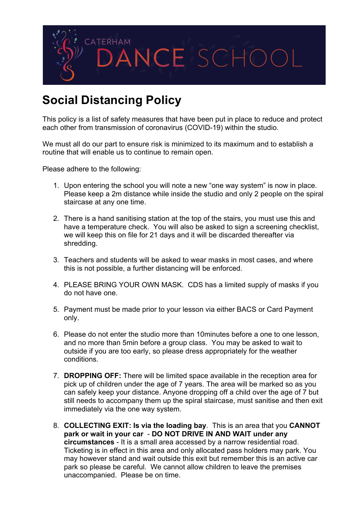

## **Social Distancing Policy**

This policy is a list of safety measures that have been put in place to reduce and protect each other from transmission of coronavirus (COVID-19) within the studio.

We must all do our part to ensure risk is minimized to its maximum and to establish a routine that will enable us to continue to remain open.

Please adhere to the following:

- 1. Upon entering the school you will note a new "one way system" is now in place. Please keep a 2m distance while inside the studio and only 2 people on the spiral staircase at any one time.
- 2. There is a hand sanitising station at the top of the stairs, you must use this and have a temperature check. You will also be asked to sign a screening checklist. we will keep this on file for 21 days and it will be discarded thereafter via shredding.
- 3. Teachers and students will be asked to wear masks in most cases, and where this is not possible, a further distancing will be enforced.
- 4. PLEASE BRING YOUR OWN MASK. CDS has a limited supply of masks if you do not have one.
- 5. Payment must be made prior to your lesson via either BACS or Card Payment only.
- 6. Please do not enter the studio more than 10minutes before a one to one lesson, and no more than 5min before a group class. You may be asked to wait to outside if you are too early, so please dress appropriately for the weather conditions.
- 7. **DROPPING OFF:** There will be limited space available in the reception area for pick up of children under the age of 7 years. The area will be marked so as you can safely keep your distance. Anyone dropping off a child over the age of 7 but still needs to accompany them up the spiral staircase, must sanitise and then exit immediately via the one way system.
- 8. **COLLECTING EXIT: Is via the loading bay**. This is an area that you **CANNOT park or wait in your car** - **DO NOT DRIVE IN AND WAIT under any circumstances** - It is a small area accessed by a narrow residential road. Ticketing is in effect in this area and only allocated pass holders may park. You may however stand and wait outside this exit but remember this is an active car park so please be careful. We cannot allow children to leave the premises unaccompanied. Please be on time.